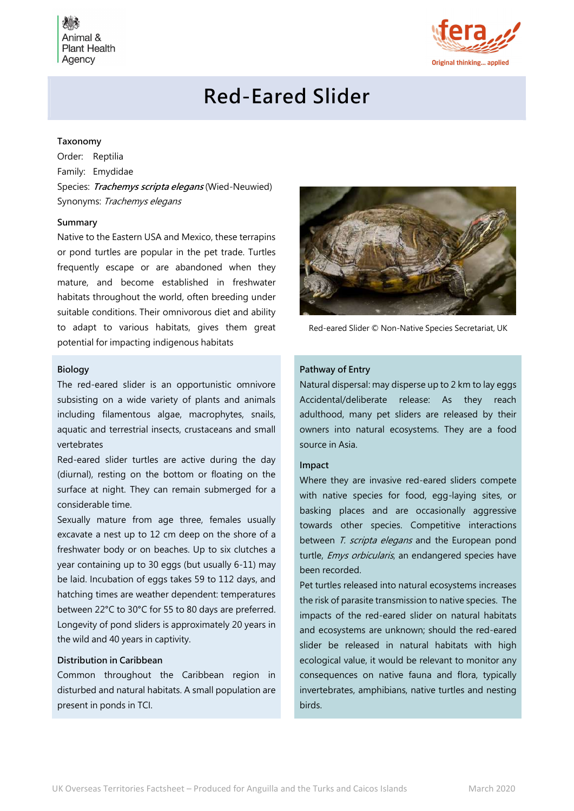

## Red-Eared Slider

#### Taxonomy

Order: Reptilia Family: Emydidae Species: Trachemys scripta elegans (Wied-Neuwied) Synonyms: Trachemys elegans

#### Summary

Native to the Eastern USA and Mexico, these terrapins or pond turtles are popular in the pet trade. Turtles frequently escape or are abandoned when they mature, and become established in freshwater habitats throughout the world, often breeding under suitable conditions. Their omnivorous diet and ability to adapt to various habitats, gives them great potential for impacting indigenous habitats

#### Biology

The red-eared slider is an opportunistic omnivore subsisting on a wide variety of plants and animals including filamentous algae, macrophytes, snails, aquatic and terrestrial insects, crustaceans and small vertebrates

Red-eared slider turtles are active during the day (diurnal), resting on the bottom or floating on the surface at night. They can remain submerged for a considerable time.

Sexually mature from age three, females usually excavate a nest up to 12 cm deep on the shore of a freshwater body or on beaches. Up to six clutches a year containing up to 30 eggs (but usually 6-11) may be laid. Incubation of eggs takes 59 to 112 days, and hatching times are weather dependent: temperatures between 22°C to 30°C for 55 to 80 days are preferred. Longevity of pond sliders is approximately 20 years in the wild and 40 years in captivity.

### Distribution in Caribbean

Common throughout the Caribbean region in disturbed and natural habitats. A small population are present in ponds in TCI.



Red-eared Slider © Non-Native Species Secretariat, UK

#### Pathway of Entry

Natural dispersal: may disperse up to 2 km to lay eggs Accidental/deliberate release: As they reach adulthood, many pet sliders are released by their owners into natural ecosystems. They are a food source in Asia.

#### Impact

Where they are invasive red-eared sliders compete with native species for food, egg-laying sites, or basking places and are occasionally aggressive towards other species. Competitive interactions between T. scripta elegans and the European pond turtle, Emys orbicularis, an endangered species have been recorded.

Pet turtles released into natural ecosystems increases the risk of parasite transmission to native species. The impacts of the red-eared slider on natural habitats and ecosystems are unknown; should the red-eared slider be released in natural habitats with high ecological value, it would be relevant to monitor any consequences on native fauna and flora, typically invertebrates, amphibians, native turtles and nesting birds.